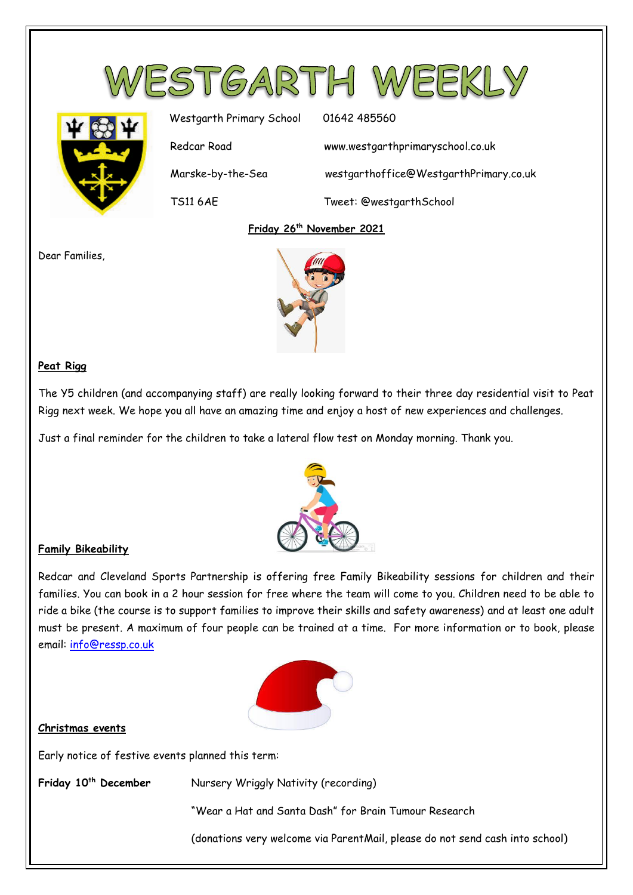



Westgarth Primary School 01642 485560 Redcar Road www.westgarthprimaryschool.co.uk Marske-by-the-Sea westgarthoffice@WestgarthPrimary.co.uk TS11 6AE Tweet: @westgarthSchool

### **Friday 26th November 2021**

Dear Families,



## **Peat Rigg**

The Y5 children (and accompanying staff) are really looking forward to their three day residential visit to Peat Rigg next week. We hope you all have an amazing time and enjoy a host of new experiences and challenges.

Just a final reminder for the children to take a lateral flow test on Monday morning. Thank you.



# **Family Bikeability**

Redcar and Cleveland Sports Partnership is offering free Family Bikeability sessions for children and their families. You can book in a 2 hour session for free where the team will come to you. Children need to be able to ride a bike (the course is to support families to improve their skills and safety awareness) and at least one adult must be present. A maximum of four people can be trained at a time. For more information or to book, please email: [info@ressp.co.uk](mailto:info@ressp.co.uk)



#### **Christmas events**

Early notice of festive events planned this term:

**Friday 10th December** Nursery Wriggly Nativity (recording)

"Wear a Hat and Santa Dash" for Brain Tumour Research

(donations very welcome via ParentMail, please do not send cash into school)